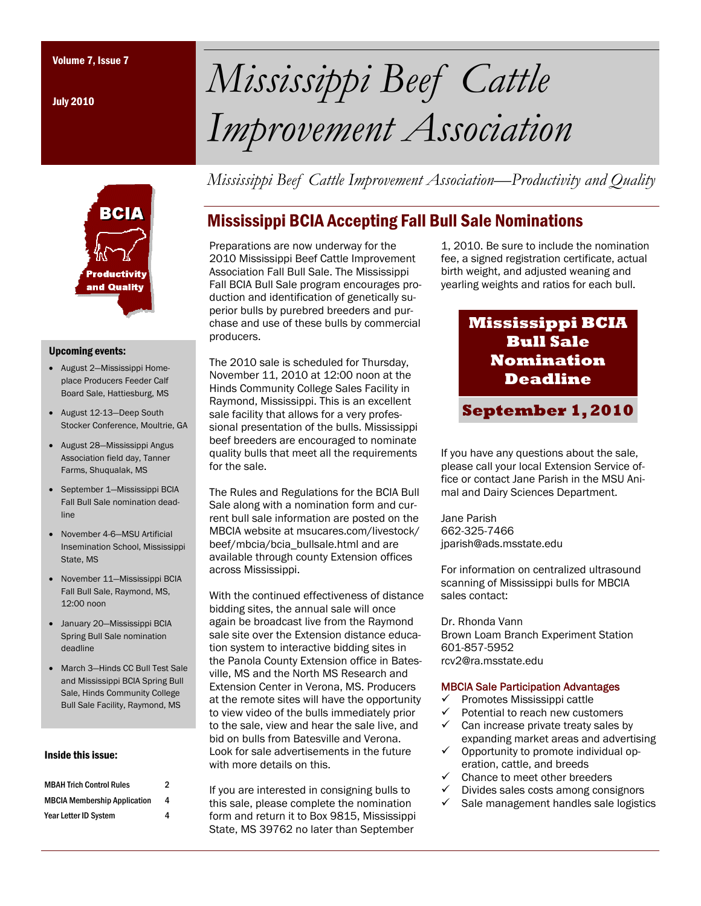July 2010



#### Upcoming events:

- August 2—Mississippi Homeplace Producers Feeder Calf Board Sale, Hattiesburg, MS
- August 12-13—Deep South Stocker Conference, Moultrie, GA
- August 28—Mississippi Angus Association field day, Tanner Farms, Shuqualak, MS
- September 1—Mississippi BCIA Fall Bull Sale nomination deadline
- November 4-6—MSU Artificial Insemination School, Mississippi State, MS
- November 11—Mississippi BCIA Fall Bull Sale, Raymond, MS, 12:00 noon
- January 20—Mississippi BCIA Spring Bull Sale nomination deadline
- March 3—Hinds CC Bull Test Sale and Mississippi BCIA Spring Bull Sale, Hinds Community College Bull Sale Facility, Raymond, MS

### Inside this issue:

| <b>MBAH Trich Control Rules</b>     | 2 |
|-------------------------------------|---|
| <b>MBCIA Membership Application</b> | 4 |
| Year Letter ID System               | 4 |

# Volume 7, Issue 7 *Mississippi Beef Cattle Improvement Association*

*Mississippi Beef Cattle Improvement Association—Productivity and Quality* 

## Mississippi BCIA Accepting Fall Bull Sale Nominations

Preparations are now underway for the 2010 Mississippi Beef Cattle Improvement Association Fall Bull Sale. The Mississippi Fall BCIA Bull Sale program encourages production and identification of genetically superior bulls by purebred breeders and purchase and use of these bulls by commercial producers.

The 2010 sale is scheduled for Thursday, November 11, 2010 at 12:00 noon at the Hinds Community College Sales Facility in Raymond, Mississippi. This is an excellent sale facility that allows for a very professional presentation of the bulls. Mississippi beef breeders are encouraged to nominate quality bulls that meet all the requirements for the sale.

The Rules and Regulations for the BCIA Bull Sale along with a nomination form and current bull sale information are posted on the MBCIA website at msucares.com/livestock/ beef/mbcia/bcia\_bullsale.html and are available through county Extension offices across Mississippi.

With the continued effectiveness of distance bidding sites, the annual sale will once again be broadcast live from the Raymond sale site over the Extension distance education system to interactive bidding sites in the Panola County Extension office in Batesville, MS and the North MS Research and Extension Center in Verona, MS. Producers at the remote sites will have the opportunity to view video of the bulls immediately prior to the sale, view and hear the sale live, and bid on bulls from Batesville and Verona. Look for sale advertisements in the future with more details on this.

If you are interested in consigning bulls to this sale, please complete the nomination form and return it to Box 9815, Mississippi State, MS 39762 no later than September

1, 2010. Be sure to include the nomination fee, a signed registration certificate, actual birth weight, and adjusted weaning and yearling weights and ratios for each bull.

## **Mississippi BCIA Bull Sale Nomination Deadline**

**September 1, 2010** 

If you have any questions about the sale, please call your local Extension Service office or contact Jane Parish in the MSU Animal and Dairy Sciences Department.

Jane Parish 662-325-7466 jparish@ads.msstate.edu

For information on centralized ultrasound scanning of Mississippi bulls for MBCIA sales contact:

Dr. Rhonda Vann Brown Loam Branch Experiment Station 601-857-5952 rcv2@ra.msstate.edu

### MBCIA Sale Participation Advantages

- $\checkmark$  Promotes Mississippi cattle
- Potential to reach new customers  $\checkmark$  Can increase private treaty sales by
- expanding market areas and advertising  $\checkmark$  Opportunity to promote individual op-
- eration, cattle, and breeds
- $\checkmark$  Chance to meet other breeders<br> $\checkmark$  Divides sales costs among cons
- 9 Divides sales costs among consignors
- $\checkmark$  Sale management handles sale logistics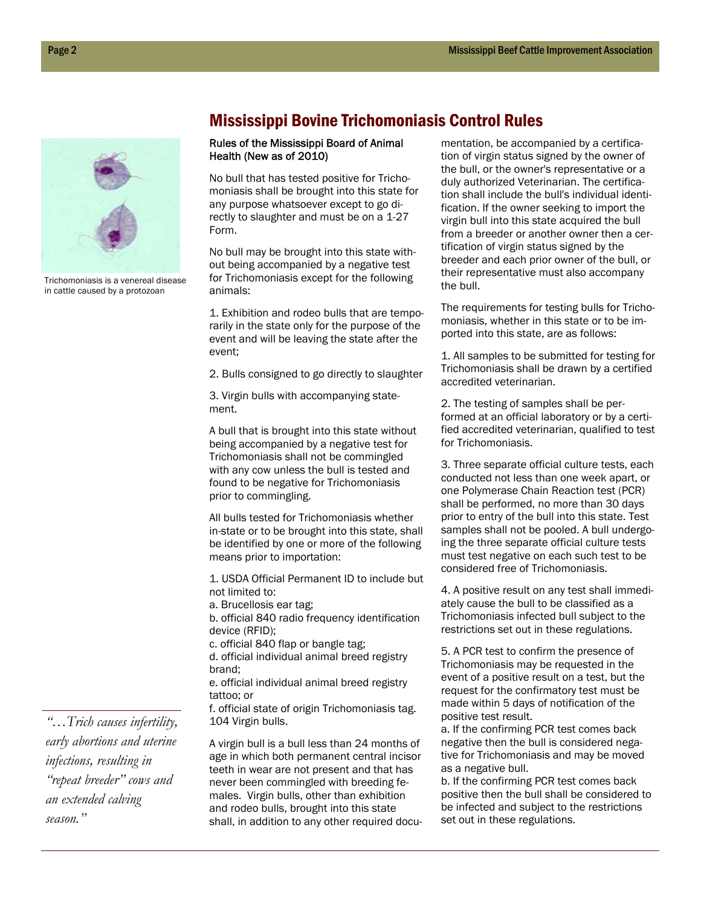

Trichomoniasis is a venereal disease in cattle caused by a protozoan

## Mississippi Bovine Trichomoniasis Control Rules

### Rules of the Mississippi Board of Animal Health (New as of 2010)

No bull that has tested positive for Trichomoniasis shall be brought into this state for any purpose whatsoever except to go directly to slaughter and must be on a 1-27 Form.

No bull may be brought into this state without being accompanied by a negative test for Trichomoniasis except for the following animals:

1. Exhibition and rodeo bulls that are temporarily in the state only for the purpose of the event and will be leaving the state after the event;

2. Bulls consigned to go directly to slaughter

3. Virgin bulls with accompanying statement.

A bull that is brought into this state without being accompanied by a negative test for Trichomoniasis shall not be commingled with any cow unless the bull is tested and found to be negative for Trichomoniasis prior to commingling.

All bulls tested for Trichomoniasis whether in-state or to be brought into this state, shall be identified by one or more of the following means prior to importation:

1. USDA Official Permanent ID to include but not limited to:

a. Brucellosis ear tag;

b. official 840 radio frequency identification device (RFID);

c. official 840 flap or bangle tag;

d. official individual animal breed registry brand;

e. official individual animal breed registry tattoo; or

f. official state of origin Trichomoniasis tag. 104 Virgin bulls.

A virgin bull is a bull less than 24 months of age in which both permanent central incisor teeth in wear are not present and that has never been commingled with breeding females. Virgin bulls, other than exhibition and rodeo bulls, brought into this state shall, in addition to any other required documentation, be accompanied by a certification of virgin status signed by the owner of the bull, or the owner's representative or a duly authorized Veterinarian. The certification shall include the bull's individual identification. If the owner seeking to import the virgin bull into this state acquired the bull from a breeder or another owner then a certification of virgin status signed by the breeder and each prior owner of the bull, or their representative must also accompany the bull.

The requirements for testing bulls for Trichomoniasis, whether in this state or to be imported into this state, are as follows:

1. All samples to be submitted for testing for Trichomoniasis shall be drawn by a certified accredited veterinarian.

2. The testing of samples shall be performed at an official laboratory or by a certified accredited veterinarian, qualified to test for Trichomoniasis.

3. Three separate official culture tests, each conducted not less than one week apart, or one Polymerase Chain Reaction test (PCR) shall be performed, no more than 30 days prior to entry of the bull into this state. Test samples shall not be pooled. A bull undergoing the three separate official culture tests must test negative on each such test to be considered free of Trichomoniasis.

4. A positive result on any test shall immediately cause the bull to be classified as a Trichomoniasis infected bull subject to the restrictions set out in these regulations.

5. A PCR test to confirm the presence of Trichomoniasis may be requested in the event of a positive result on a test, but the request for the confirmatory test must be made within 5 days of notification of the positive test result.

a. If the confirming PCR test comes back negative then the bull is considered negative for Trichomoniasis and may be moved as a negative bull.

b. If the confirming PCR test comes back positive then the bull shall be considered to be infected and subject to the restrictions set out in these regulations.

*"…Trich causes infertility, early abortions and uterine infections, resulting in "repeat breeder" cows and an extended calving season."*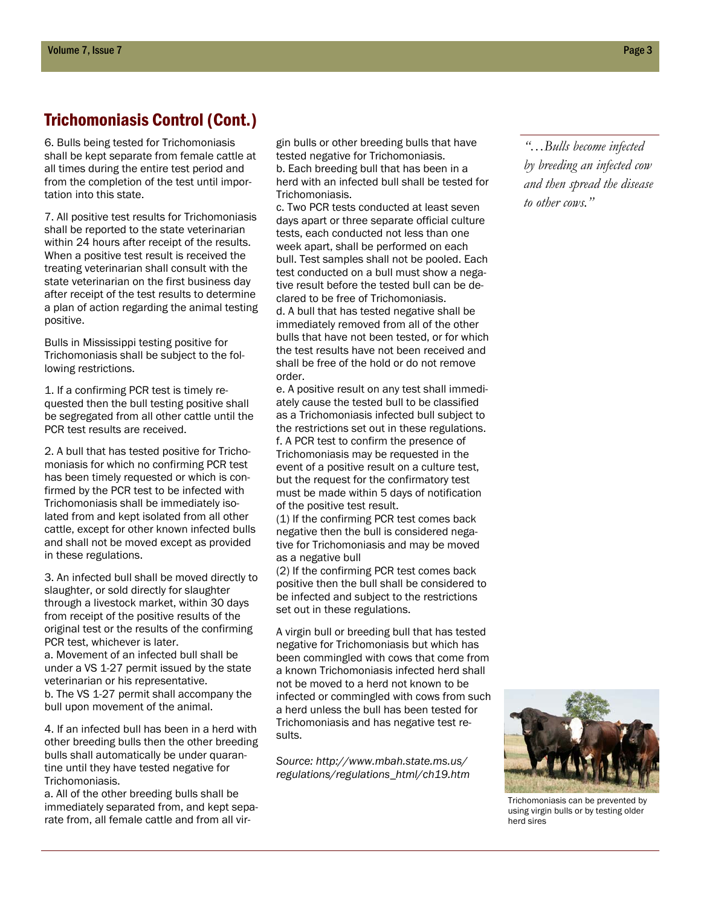## Trichomoniasis Control (Cont.)

6. Bulls being tested for Trichomoniasis shall be kept separate from female cattle at all times during the entire test period and from the completion of the test until importation into this state.

7. All positive test results for Trichomoniasis shall be reported to the state veterinarian within 24 hours after receipt of the results. When a positive test result is received the treating veterinarian shall consult with the state veterinarian on the first business day after receipt of the test results to determine a plan of action regarding the animal testing positive.

Bulls in Mississippi testing positive for Trichomoniasis shall be subject to the following restrictions.

1. If a confirming PCR test is timely requested then the bull testing positive shall be segregated from all other cattle until the PCR test results are received.

2. A bull that has tested positive for Trichomoniasis for which no confirming PCR test has been timely requested or which is confirmed by the PCR test to be infected with Trichomoniasis shall be immediately isolated from and kept isolated from all other cattle, except for other known infected bulls and shall not be moved except as provided in these regulations.

3. An infected bull shall be moved directly to slaughter, or sold directly for slaughter through a livestock market, within 30 days from receipt of the positive results of the original test or the results of the confirming PCR test, whichever is later. a. Movement of an infected bull shall be under a VS 1-27 permit issued by the state veterinarian or his representative. b. The VS 1-27 permit shall accompany the bull upon movement of the animal.

4. If an infected bull has been in a herd with other breeding bulls then the other breeding bulls shall automatically be under quarantine until they have tested negative for Trichomoniasis.

a. All of the other breeding bulls shall be immediately separated from, and kept separate from, all female cattle and from all virgin bulls or other breeding bulls that have tested negative for Trichomoniasis. b. Each breeding bull that has been in a herd with an infected bull shall be tested for Trichomoniasis.

c. Two PCR tests conducted at least seven days apart or three separate official culture tests, each conducted not less than one week apart, shall be performed on each bull. Test samples shall not be pooled. Each test conducted on a bull must show a negative result before the tested bull can be declared to be free of Trichomoniasis. d. A bull that has tested negative shall be immediately removed from all of the other bulls that have not been tested, or for which the test results have not been received and shall be free of the hold or do not remove order.

e. A positive result on any test shall immediately cause the tested bull to be classified as a Trichomoniasis infected bull subject to the restrictions set out in these regulations. f. A PCR test to confirm the presence of Trichomoniasis may be requested in the event of a positive result on a culture test, but the request for the confirmatory test must be made within 5 days of notification of the positive test result.

(1) If the confirming PCR test comes back negative then the bull is considered negative for Trichomoniasis and may be moved as a negative bull

(2) If the confirming PCR test comes back positive then the bull shall be considered to be infected and subject to the restrictions set out in these regulations.

A virgin bull or breeding bull that has tested negative for Trichomoniasis but which has been commingled with cows that come from a known Trichomoniasis infected herd shall not be moved to a herd not known to be infected or commingled with cows from such a herd unless the bull has been tested for Trichomoniasis and has negative test results.

*Source: http://www.mbah.state.ms.us/ regulations/regulations\_html/ch19.htm* 

*"…Bulls become infected by breeding an infected cow and then spread the disease to other cows."* 



Trichomoniasis can be prevented by using virgin bulls or by testing older herd sires